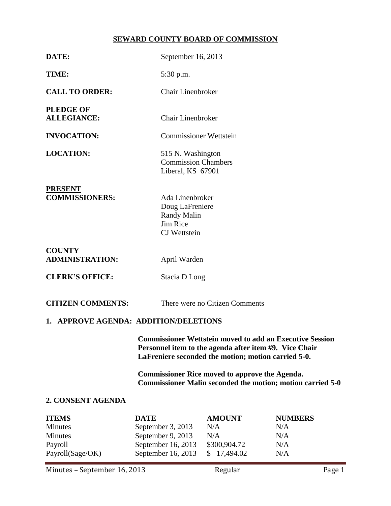# **SEWARD COUNTY BOARD OF COMMISSION**

| DATE:                                                                    |                                                                                                                                                                                  | September 16, 2013                                                         |                                            |  |  |  |
|--------------------------------------------------------------------------|----------------------------------------------------------------------------------------------------------------------------------------------------------------------------------|----------------------------------------------------------------------------|--------------------------------------------|--|--|--|
| TIME:                                                                    | 5:30 p.m.                                                                                                                                                                        |                                                                            |                                            |  |  |  |
| <b>CALL TO ORDER:</b>                                                    | Chair Linenbroker                                                                                                                                                                |                                                                            |                                            |  |  |  |
| <b>PLEDGE OF</b><br><b>ALLEGIANCE:</b>                                   | <b>Chair Linenbroker</b>                                                                                                                                                         |                                                                            |                                            |  |  |  |
| <b>INVOCATION:</b>                                                       |                                                                                                                                                                                  | <b>Commissioner Wettstein</b>                                              |                                            |  |  |  |
| <b>LOCATION:</b>                                                         |                                                                                                                                                                                  | 515 N. Washington<br><b>Commission Chambers</b><br>Liberal, KS 67901       |                                            |  |  |  |
| <b>PRESENT</b><br><b>COMMISSIONERS:</b>                                  | Jim Rice                                                                                                                                                                         | Ada Linenbroker<br>Doug LaFreniere<br>Randy Malin<br><b>CJ</b> Wettstein   |                                            |  |  |  |
| <b>COUNTY</b><br><b>ADMINISTRATION:</b>                                  | April Warden                                                                                                                                                                     |                                                                            |                                            |  |  |  |
| <b>CLERK'S OFFICE:</b>                                                   |                                                                                                                                                                                  | Stacia D Long                                                              |                                            |  |  |  |
| <b>CITIZEN COMMENTS:</b>                                                 |                                                                                                                                                                                  | There were no Citizen Comments                                             |                                            |  |  |  |
| 1. APPROVE AGENDA: ADDITION/DELETIONS                                    |                                                                                                                                                                                  |                                                                            |                                            |  |  |  |
|                                                                          | <b>Commissioner Wettstein moved to add an Executive Session</b><br>Personnel item to the agenda after item #9. Vice Chair<br>LaFreniere seconded the motion; motion carried 5-0. |                                                                            |                                            |  |  |  |
|                                                                          | <b>Commissioner Rice moved to approve the Agenda.</b><br><b>Commissioner Malin seconded the motion; motion carried 5-0</b>                                                       |                                                                            |                                            |  |  |  |
| 2. CONSENT AGENDA                                                        |                                                                                                                                                                                  |                                                                            |                                            |  |  |  |
| <b>ITEMS</b><br><b>Minutes</b><br>Minutes<br>Payroll<br>Payroll(Sage/OK) | <b>DATE</b><br>September 3, 2013<br>September 9, 2013<br>September 16, 2013<br>September 16, 2013                                                                                | <b>AMOUNT</b><br>N/A<br>N/A<br>\$300,904.72<br>17,494.02<br>$\mathbb{S}^-$ | <b>NUMBERS</b><br>N/A<br>N/A<br>N/A<br>N/A |  |  |  |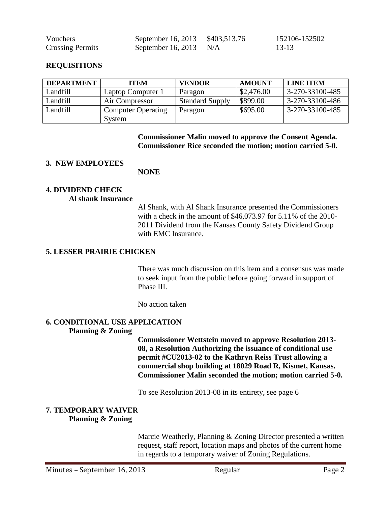| Vouchers                | September 16, 2013 \$403,513.76 | 152106-152502 |
|-------------------------|---------------------------------|---------------|
| <b>Crossing Permits</b> | September 16, 2013 $N/A$        | -13-13        |

### **REQUISITIONS**

| <b>DEPARTMENT</b> | <b>ITEM</b>               | <b>VENDOR</b>          | <b>AMOUNT</b> | <b>LINE ITEM</b> |
|-------------------|---------------------------|------------------------|---------------|------------------|
| Landfill          | Laptop Computer 1         | Paragon                | \$2,476.00    | 3-270-33100-485  |
| Landfill          | Air Compressor            | <b>Standard Supply</b> | \$899.00      | 3-270-33100-486  |
| Landfill          | <b>Computer Operating</b> | Paragon                | \$695.00      | 3-270-33100-485  |
|                   | System                    |                        |               |                  |

**Commissioner Malin moved to approve the Consent Agenda. Commissioner Rice seconded the motion; motion carried 5-0.**

#### **3. NEW EMPLOYEES**

**NONE**

# **4. DIVIDEND CHECK**

#### **Al shank Insurance**

Al Shank, with Al Shank Insurance presented the Commissioners with a check in the amount of \$46,073.97 for 5.11% of the 2010- 2011 Dividend from the Kansas County Safety Dividend Group with EMC Insurance.

#### **5. LESSER PRAIRIE CHICKEN**

There was much discussion on this item and a consensus was made to seek input from the public before going forward in support of Phase III.

No action taken

#### **6. CONDITIONAL USE APPLICATION Planning & Zoning**

**Commissioner Wettstein moved to approve Resolution 2013- 08, a Resolution Authorizing the issuance of conditional use permit #CU2013-02 to the Kathryn Reiss Trust allowing a commercial shop building at 18029 Road R, Kismet, Kansas. Commissioner Malin seconded the motion; motion carried 5-0.**

To see Resolution 2013-08 in its entirety, see page 6

# **7. TEMPORARY WAIVER Planning & Zoning**

Marcie Weatherly, Planning & Zoning Director presented a written request, staff report, location maps and photos of the current home in regards to a temporary waiver of Zoning Regulations.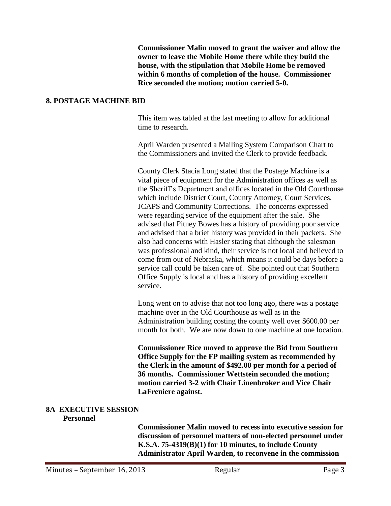**Commissioner Malin moved to grant the waiver and allow the owner to leave the Mobile Home there while they build the house, with the stipulation that Mobile Home be removed within 6 months of completion of the house. Commissioner Rice seconded the motion; motion carried 5-0.**

### **8. POSTAGE MACHINE BID**

This item was tabled at the last meeting to allow for additional time to research.

April Warden presented a Mailing System Comparison Chart to the Commissioners and invited the Clerk to provide feedback.

County Clerk Stacia Long stated that the Postage Machine is a vital piece of equipment for the Administration offices as well as the Sheriff's Department and offices located in the Old Courthouse which include District Court, County Attorney, Court Services, JCAPS and Community Corrections. The concerns expressed were regarding service of the equipment after the sale. She advised that Pitney Bowes has a history of providing poor service and advised that a brief history was provided in their packets. She also had concerns with Hasler stating that although the salesman was professional and kind, their service is not local and believed to come from out of Nebraska, which means it could be days before a service call could be taken care of. She pointed out that Southern Office Supply is local and has a history of providing excellent service.

Long went on to advise that not too long ago, there was a postage machine over in the Old Courthouse as well as in the Administration building costing the county well over \$600.00 per month for both. We are now down to one machine at one location.

**Commissioner Rice moved to approve the Bid from Southern Office Supply for the FP mailing system as recommended by the Clerk in the amount of \$492.00 per month for a period of 36 months. Commissioner Wettstein seconded the motion; motion carried 3-2 with Chair Linenbroker and Vice Chair LaFreniere against.**

#### **8A EXECUTIVE SESSION Personnel**

**Commissioner Malin moved to recess into executive session for discussion of personnel matters of non-elected personnel under K.S.A. 75-4319(B)(1) for 10 minutes, to include County Administrator April Warden, to reconvene in the commission**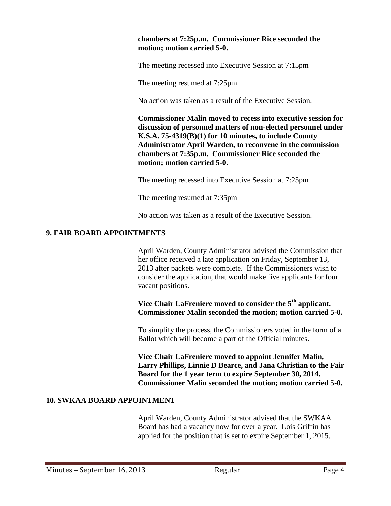# **chambers at 7:25p.m. Commissioner Rice seconded the motion; motion carried 5-0.**

The meeting recessed into Executive Session at 7:15pm

The meeting resumed at 7:25pm

No action was taken as a result of the Executive Session.

**Commissioner Malin moved to recess into executive session for discussion of personnel matters of non-elected personnel under K.S.A. 75-4319(B)(1) for 10 minutes, to include County Administrator April Warden, to reconvene in the commission chambers at 7:35p.m. Commissioner Rice seconded the motion; motion carried 5-0.**

The meeting recessed into Executive Session at 7:25pm

The meeting resumed at 7:35pm

No action was taken as a result of the Executive Session.

### **9. FAIR BOARD APPOINTMENTS**

April Warden, County Administrator advised the Commission that her office received a late application on Friday, September 13, 2013 after packets were complete. If the Commissioners wish to consider the application, that would make five applicants for four vacant positions.

**Vice Chair LaFreniere moved to consider the 5th applicant. Commissioner Malin seconded the motion; motion carried 5-0.**

To simplify the process, the Commissioners voted in the form of a Ballot which will become a part of the Official minutes.

**Vice Chair LaFreniere moved to appoint Jennifer Malin, Larry Phillips, Linnie D Bearce, and Jana Christian to the Fair Board for the 1 year term to expire September 30, 2014. Commissioner Malin seconded the motion; motion carried 5-0.**

# **10. SWKAA BOARD APPOINTMENT**

April Warden, County Administrator advised that the SWKAA Board has had a vacancy now for over a year. Lois Griffin has applied for the position that is set to expire September 1, 2015.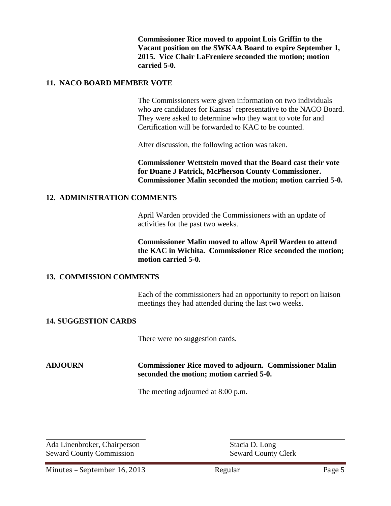**Commissioner Rice moved to appoint Lois Griffin to the Vacant position on the SWKAA Board to expire September 1, 2015. Vice Chair LaFreniere seconded the motion; motion carried 5-0.**

### **11. NACO BOARD MEMBER VOTE**

The Commissioners were given information on two individuals who are candidates for Kansas' representative to the NACO Board. They were asked to determine who they want to vote for and Certification will be forwarded to KAC to be counted.

After discussion, the following action was taken.

**Commissioner Wettstein moved that the Board cast their vote for Duane J Patrick, McPherson County Commissioner. Commissioner Malin seconded the motion; motion carried 5-0.**

### **12. ADMINISTRATION COMMENTS**

April Warden provided the Commissioners with an update of activities for the past two weeks.

**Commissioner Malin moved to allow April Warden to attend the KAC in Wichita. Commissioner Rice seconded the motion; motion carried 5-0.**

#### **13. COMMISSION COMMENTS**

Each of the commissioners had an opportunity to report on liaison meetings they had attended during the last two weeks.

### **14. SUGGESTION CARDS**

There were no suggestion cards.

### **ADJOURN Commissioner Rice moved to adjourn. Commissioner Malin seconded the motion; motion carried 5-0.**

The meeting adjourned at 8:00 p.m.

Ada Linenbroker, Chairperson Stacia D. Long Seward County Commission Seward County Clerk

 $\overline{a}$ 

Minutes – September 16, 2013 Regular Regular Page 5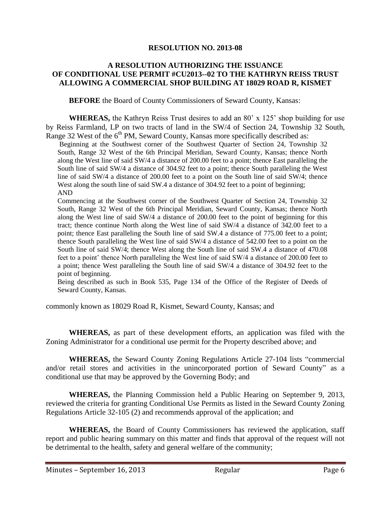### **RESOLUTION NO. 2013-08**

# **A RESOLUTION AUTHORIZING THE ISSUANCE OF CONDITIONAL USE PERMIT #CU2013--02 TO THE KATHRYN REISS TRUST ALLOWING A COMMERCIAL SHOP BUILDING AT 18029 ROAD R, KISMET**

**BEFORE** the Board of County Commissioners of Seward County, Kansas:

**WHEREAS,** the Kathryn Reiss Trust desires to add an 80' x 125' shop building for use by Reiss Farmland, LP on two tracts of land in the SW/4 of Section 24, Township 32 South, Range 32 West of the  $6<sup>th</sup> PM$ , Seward County, Kansas more specifically described as:

Beginning at the Southwest corner of the Southwest Quarter of Section 24, Township 32 South, Range 32 West of the 6th Principal Meridian, Seward County, Kansas; thence North along the West line of said SW/4 a distance of 200.00 feet to a point; thence East paralleling the South line of said SW/4 a distance of 304.92 feet to a point; thence South paralleling the West line of said SW/4 a distance of 200.00 feet to a point on the South line of said SW/4; thence West along the south line of said SW.4 a distance of 304.92 feet to a point of beginning; AND

Commencing at the Southwest corner of the Southwest Quarter of Section 24, Township 32 South, Range 32 West of the 6th Principal Meridian, Seward County, Kansas; thence North along the West line of said SW/4 a distance of 200.00 feet to the point of beginning for this tract; thence continue North along the West line of said SW/4 a distance of 342.00 feet to a point; thence East paralleling the South line of said SW.4 a distance of 775.00 feet to a point; thence South paralleling the West line of said SW/4 a distance of 542.00 feet to a point on the South line of said SW/4; thence West along the South line of said SW.4 a distance of 470.08 feet to a point' thence North paralleling the West line of said SW/4 a distance of 200.00 feet to a point; thence West paralleling the South line of said SW/4 a distance of 304.92 feet to the point of beginning.

Being described as such in Book 535, Page 134 of the Office of the Register of Deeds of Seward County, Kansas.

commonly known as 18029 Road R, Kismet, Seward County, Kansas; and

**WHEREAS,** as part of these development efforts, an application was filed with the Zoning Administrator for a conditional use permit for the Property described above; and

**WHEREAS,** the Seward County Zoning Regulations Article 27-104 lists "commercial and/or retail stores and activities in the unincorporated portion of Seward County" as a conditional use that may be approved by the Governing Body; and

**WHEREAS,** the Planning Commission held a Public Hearing on September 9, 2013, reviewed the criteria for granting Conditional Use Permits as listed in the Seward County Zoning Regulations Article 32-105 (2) and recommends approval of the application; and

**WHEREAS,** the Board of County Commissioners has reviewed the application, staff report and public hearing summary on this matter and finds that approval of the request will not be detrimental to the health, safety and general welfare of the community;